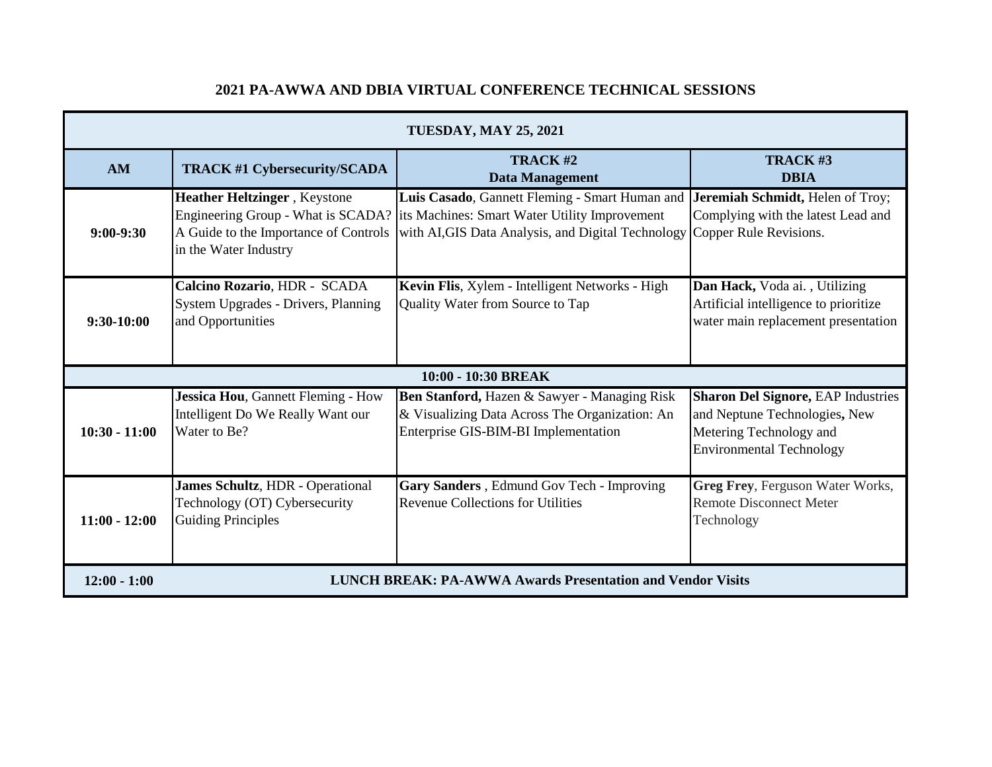| <b>TUESDAY, MAY 25, 2021</b> |                                                                                                        |                                                                                                                                                                                          |                                                                                                                                          |  |  |
|------------------------------|--------------------------------------------------------------------------------------------------------|------------------------------------------------------------------------------------------------------------------------------------------------------------------------------------------|------------------------------------------------------------------------------------------------------------------------------------------|--|--|
| AM                           | <b>TRACK #1 Cybersecurity/SCADA</b>                                                                    | TRACK#2<br><b>Data Management</b>                                                                                                                                                        | TRACK#3<br><b>DBIA</b>                                                                                                                   |  |  |
| $9:00-9:30$                  | <b>Heather Heltzinger</b> , Keystone<br>A Guide to the Importance of Controls<br>in the Water Industry | Luis Casado, Gannett Fleming - Smart Human and<br>Engineering Group - What is SCADA? its Machines: Smart Water Utility Improvement<br>with AI, GIS Data Analysis, and Digital Technology | Jeremiah Schmidt, Helen of Troy;<br>Complying with the latest Lead and<br>Copper Rule Revisions.                                         |  |  |
| $9:30-10:00$                 | Calcino Rozario, HDR - SCADA<br>System Upgrades - Drivers, Planning<br>and Opportunities               | Kevin Flis, Xylem - Intelligent Networks - High<br>Quality Water from Source to Tap                                                                                                      | Dan Hack, Voda ai., Utilizing<br>Artificial intelligence to prioritize<br>water main replacement presentation                            |  |  |
| 10:00 - 10:30 BREAK          |                                                                                                        |                                                                                                                                                                                          |                                                                                                                                          |  |  |
| $10:30 - 11:00$              | Jessica Hou, Gannett Fleming - How<br>Intelligent Do We Really Want our<br>Water to Be?                | Ben Stanford, Hazen & Sawyer - Managing Risk<br>& Visualizing Data Across The Organization: An<br>Enterprise GIS-BIM-BI Implementation                                                   | <b>Sharon Del Signore, EAP Industries</b><br>and Neptune Technologies, New<br>Metering Technology and<br><b>Environmental Technology</b> |  |  |
| $11:00 - 12:00$              | James Schultz, HDR - Operational<br>Technology (OT) Cybersecurity<br><b>Guiding Principles</b>         | Gary Sanders, Edmund Gov Tech - Improving<br><b>Revenue Collections for Utilities</b>                                                                                                    | Greg Frey, Ferguson Water Works,<br><b>Remote Disconnect Meter</b><br>Technology                                                         |  |  |
| $12:00 - 1:00$               | <b>LUNCH BREAK: PA-AWWA Awards Presentation and Vendor Visits</b>                                      |                                                                                                                                                                                          |                                                                                                                                          |  |  |

## **2021 PA-AWWA AND DBIA VIRTUAL CONFERENCE TECHNICAL SESSIONS**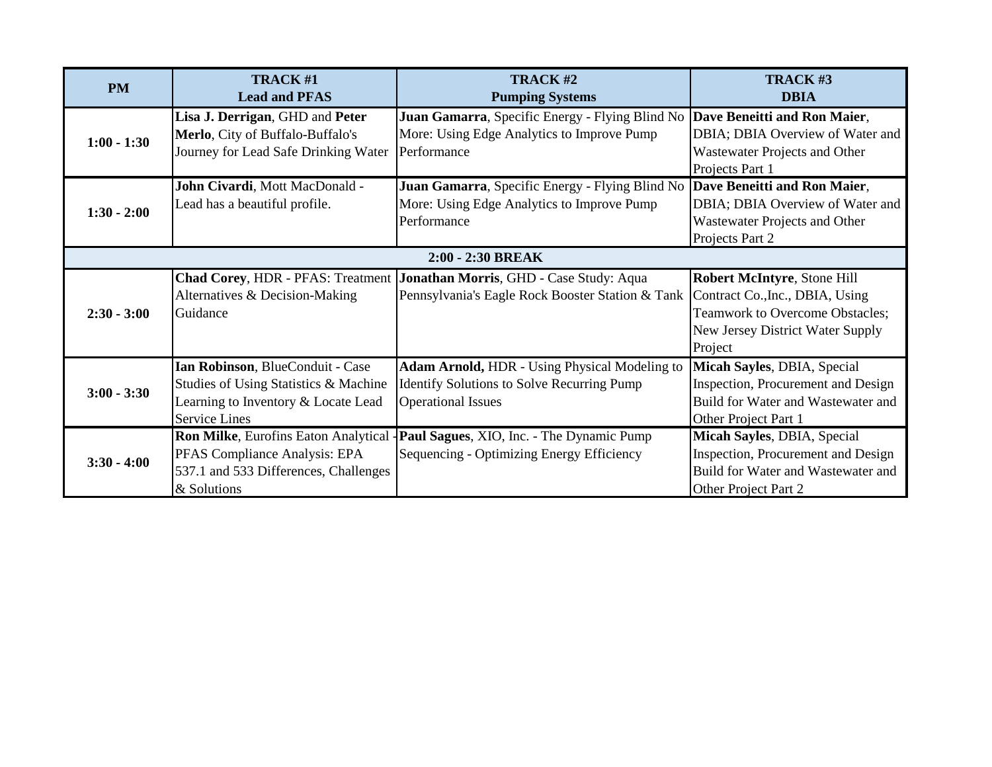| <b>PM</b>     | <b>TRACK#1</b>                        | TRACK#2                                                                          | TRACK#3                                |  |  |  |
|---------------|---------------------------------------|----------------------------------------------------------------------------------|----------------------------------------|--|--|--|
|               | <b>Lead and PFAS</b>                  | <b>Pumping Systems</b>                                                           | <b>DBIA</b>                            |  |  |  |
| $1:00 - 1:30$ | Lisa J. Derrigan, GHD and Peter       | Juan Gamarra, Specific Energy - Flying Blind No                                  | Dave Beneitti and Ron Maier,           |  |  |  |
|               | Merlo, City of Buffalo-Buffalo's      | More: Using Edge Analytics to Improve Pump                                       | DBIA; DBIA Overview of Water and       |  |  |  |
|               | Journey for Lead Safe Drinking Water  | Performance                                                                      | Wastewater Projects and Other          |  |  |  |
|               |                                       |                                                                                  | Projects Part 1                        |  |  |  |
| $1:30 - 2:00$ | John Civardi, Mott MacDonald -        | Juan Gamarra, Specific Energy - Flying Blind No                                  | Dave Beneitti and Ron Maier,           |  |  |  |
|               | Lead has a beautiful profile.         | More: Using Edge Analytics to Improve Pump                                       | DBIA; DBIA Overview of Water and       |  |  |  |
|               |                                       | Performance                                                                      | Wastewater Projects and Other          |  |  |  |
|               |                                       |                                                                                  | Projects Part 2                        |  |  |  |
|               | 2:00 - 2:30 BREAK                     |                                                                                  |                                        |  |  |  |
| $2:30 - 3:00$ |                                       | <b>Chad Corey, HDR - PFAS: Treatment Jonathan Morris, GHD - Case Study: Aqua</b> | Robert McIntyre, Stone Hill            |  |  |  |
|               | Alternatives & Decision-Making        | Pennsylvania's Eagle Rock Booster Station & Tank                                 | Contract Co., Inc., DBIA, Using        |  |  |  |
|               | Guidance                              |                                                                                  | <b>Teamwork to Overcome Obstacles;</b> |  |  |  |
|               |                                       |                                                                                  | New Jersey District Water Supply       |  |  |  |
|               |                                       |                                                                                  | Project                                |  |  |  |
| $3:00 - 3:30$ | Ian Robinson, BlueConduit - Case      | Adam Arnold, HDR - Using Physical Modeling to                                    | Micah Sayles, DBIA, Special            |  |  |  |
|               | Studies of Using Statistics & Machine | <b>Identify Solutions to Solve Recurring Pump</b>                                | Inspection, Procurement and Design     |  |  |  |
|               | Learning to Inventory & Locate Lead   | <b>Operational Issues</b>                                                        | Build for Water and Wastewater and     |  |  |  |
|               | <b>Service Lines</b>                  |                                                                                  | Other Project Part 1                   |  |  |  |
|               | Ron Milke, Eurofins Eaton Analytical  | Paul Sagues, XIO, Inc. - The Dynamic Pump                                        | Micah Sayles, DBIA, Special            |  |  |  |
| $3:30 - 4:00$ | PFAS Compliance Analysis: EPA         | Sequencing - Optimizing Energy Efficiency                                        | Inspection, Procurement and Design     |  |  |  |
|               | 537.1 and 533 Differences, Challenges |                                                                                  | Build for Water and Wastewater and     |  |  |  |
|               | & Solutions                           |                                                                                  | Other Project Part 2                   |  |  |  |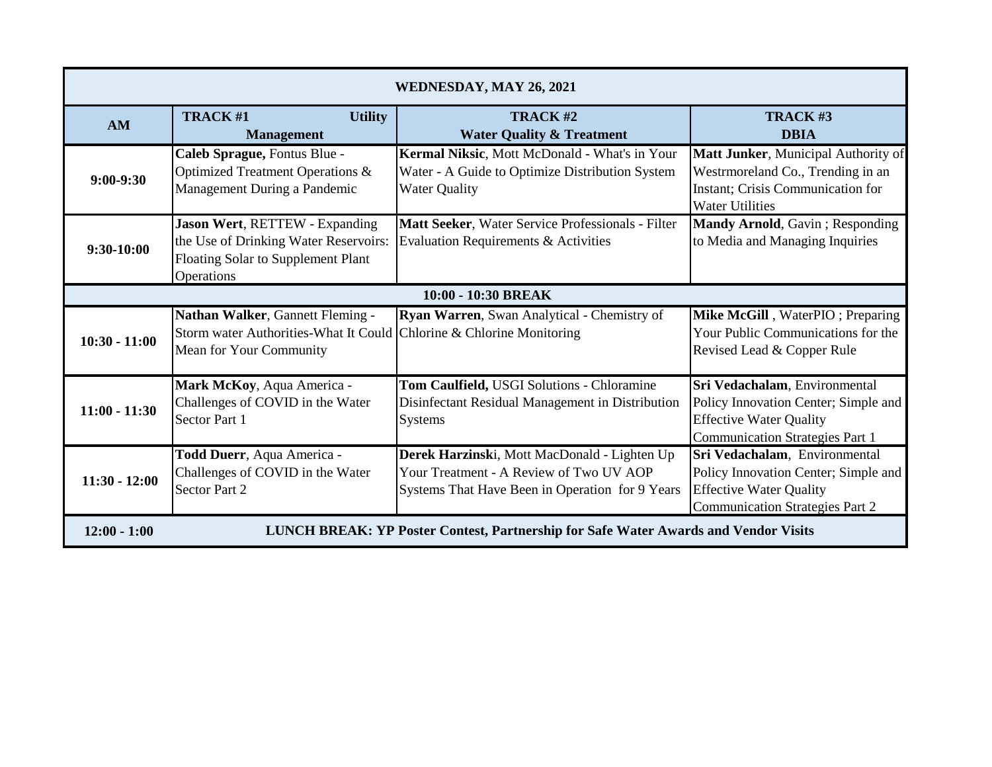| WEDNESDAY, MAY 26, 2021 |                                                                                                                                     |                                                                                                                                            |                                                                                                                                                   |  |  |
|-------------------------|-------------------------------------------------------------------------------------------------------------------------------------|--------------------------------------------------------------------------------------------------------------------------------------------|---------------------------------------------------------------------------------------------------------------------------------------------------|--|--|
| <b>AM</b>               | TRACK#1<br><b>Utility</b><br><b>Management</b>                                                                                      | TRACK#2<br><b>Water Quality &amp; Treatment</b>                                                                                            | TRACK#3<br><b>DBIA</b>                                                                                                                            |  |  |
| $9:00-9:30$             | Caleb Sprague, Fontus Blue -<br>Optimized Treatment Operations &<br>Management During a Pandemic                                    | Kermal Niksic, Mott McDonald - What's in Your<br>Water - A Guide to Optimize Distribution System<br><b>Water Quality</b>                   | Matt Junker, Municipal Authority of<br>Westrmoreland Co., Trending in an<br>Instant; Crisis Communication for<br><b>Water Utilities</b>           |  |  |
| 9:30-10:00              | Jason Wert, RETTEW - Expanding<br>the Use of Drinking Water Reservoirs:<br>Floating Solar to Supplement Plant<br>Operations         | Matt Seeker, Water Service Professionals - Filter<br>Evaluation Requirements & Activities                                                  | <b>Mandy Arnold, Gavin; Responding</b><br>to Media and Managing Inquiries                                                                         |  |  |
|                         |                                                                                                                                     | 10:00 - 10:30 BREAK                                                                                                                        |                                                                                                                                                   |  |  |
| $10:30 - 11:00$         | Nathan Walker, Gannett Fleming -<br>Storm water Authorities-What It Could Chlorine & Chlorine Monitoring<br>Mean for Your Community | Ryan Warren, Swan Analytical - Chemistry of                                                                                                | Mike McGill, WaterPIO; Preparing<br>Your Public Communications for the<br>Revised Lead & Copper Rule                                              |  |  |
| $11:00 - 11:30$         | Mark McKoy, Aqua America -<br>Challenges of COVID in the Water<br>Sector Part 1                                                     | Tom Caulfield, USGI Solutions - Chloramine<br>Disinfectant Residual Management in Distribution<br><b>Systems</b>                           | Sri Vedachalam, Environmental<br>Policy Innovation Center; Simple and<br><b>Effective Water Quality</b><br><b>Communication Strategies Part 1</b> |  |  |
| $11:30 - 12:00$         | Todd Duerr, Aqua America -<br>Challenges of COVID in the Water<br>Sector Part 2                                                     | Derek Harzinski, Mott MacDonald - Lighten Up<br>Your Treatment - A Review of Two UV AOP<br>Systems That Have Been in Operation for 9 Years | Sri Vedachalam, Environmental<br>Policy Innovation Center; Simple and<br><b>Effective Water Quality</b><br><b>Communication Strategies Part 2</b> |  |  |
| $12:00 - 1:00$          |                                                                                                                                     | LUNCH BREAK: YP Poster Contest, Partnership for Safe Water Awards and Vendor Visits                                                        |                                                                                                                                                   |  |  |